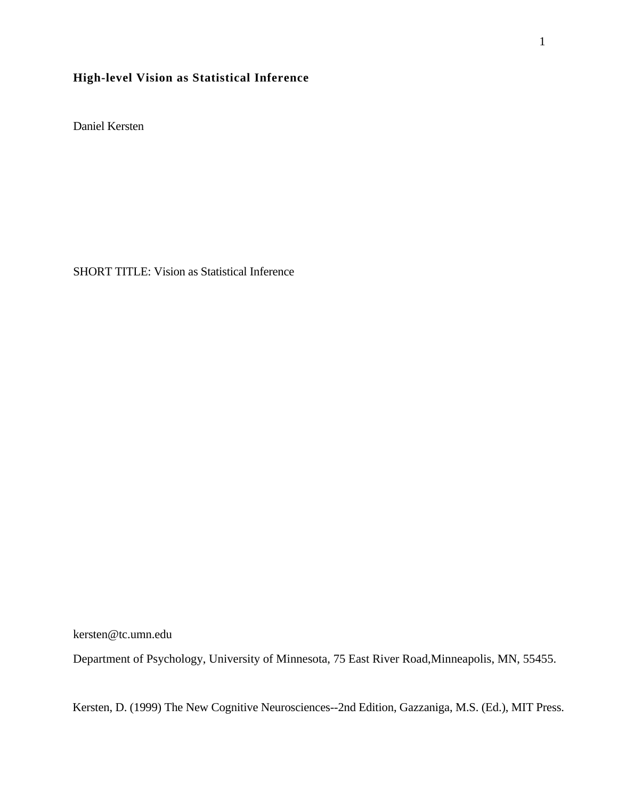## **High-level Vision as Statistical Inference**

Daniel Kersten

SHORT TITLE: Vision as Statistical Inference

kersten@tc.umn.edu

Department of Psychology, University of Minnesota, 75 East River Road,Minneapolis, MN, 55455.

Kersten, D. (1999) The New Cognitive Neurosciences--2nd Edition, Gazzaniga, M.S. (Ed.), MIT Press.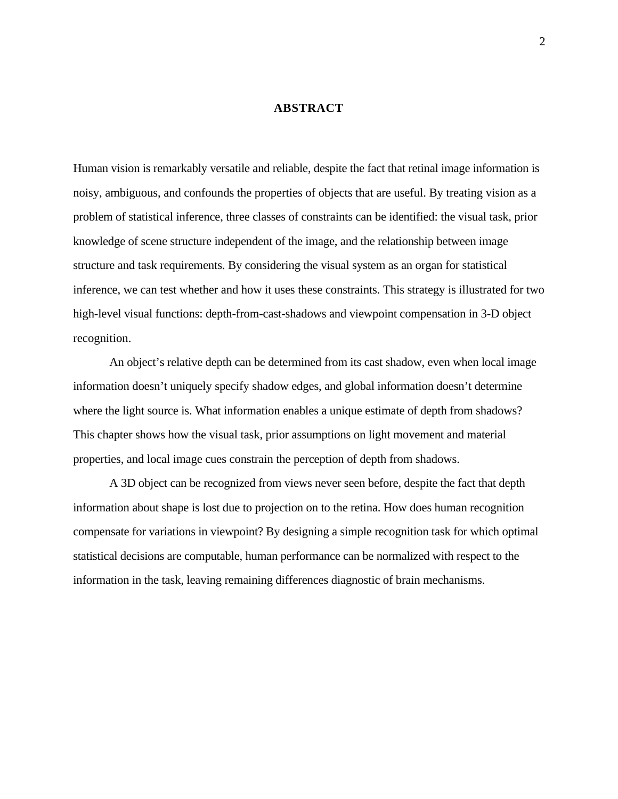#### **ABSTRACT**

Human vision is remarkably versatile and reliable, despite the fact that retinal image information is noisy, ambiguous, and confounds the properties of objects that are useful. By treating vision as a problem of statistical inference, three classes of constraints can be identified: the visual task, prior knowledge of scene structure independent of the image, and the relationship between image structure and task requirements. By considering the visual system as an organ for statistical inference, we can test whether and how it uses these constraints. This strategy is illustrated for two high-level visual functions: depth-from-cast-shadows and viewpoint compensation in 3-D object recognition.

An object's relative depth can be determined from its cast shadow, even when local image information doesn't uniquely specify shadow edges, and global information doesn't determine where the light source is. What information enables a unique estimate of depth from shadows? This chapter shows how the visual task, prior assumptions on light movement and material properties, and local image cues constrain the perception of depth from shadows.

A 3D object can be recognized from views never seen before, despite the fact that depth information about shape is lost due to projection on to the retina. How does human recognition compensate for variations in viewpoint? By designing a simple recognition task for which optimal statistical decisions are computable, human performance can be normalized with respect to the information in the task, leaving remaining differences diagnostic of brain mechanisms.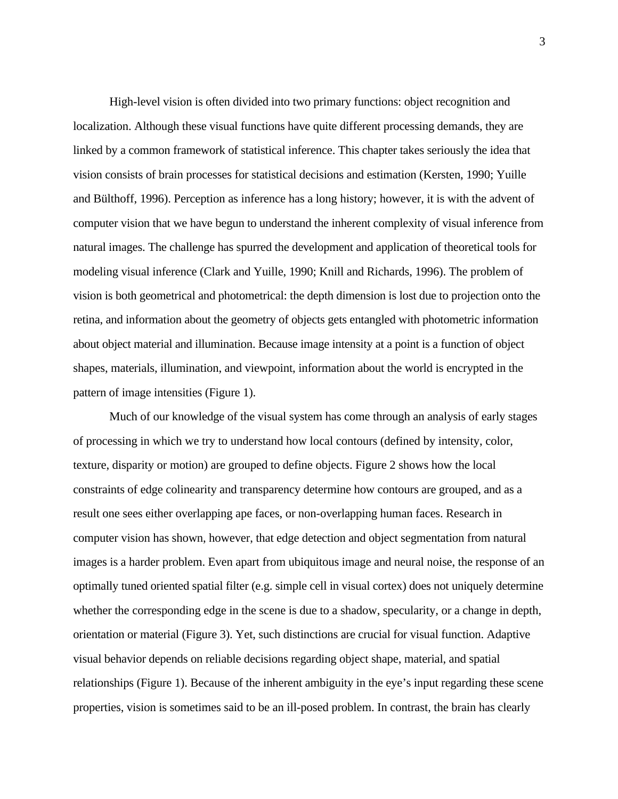High-level vision is often divided into two primary functions: object recognition and localization. Although these visual functions have quite different processing demands, they are linked by a common framework of statistical inference. This chapter takes seriously the idea that vision consists of brain processes for statistical decisions and estimation (Kersten, 1990; Yuille and Bülthoff, 1996). Perception as inference has a long history; however, it is with the advent of computer vision that we have begun to understand the inherent complexity of visual inference from natural images. The challenge has spurred the development and application of theoretical tools for modeling visual inference (Clark and Yuille, 1990; Knill and Richards, 1996). The problem of vision is both geometrical and photometrical: the depth dimension is lost due to projection onto the retina, and information about the geometry of objects gets entangled with photometric information about object material and illumination. Because image intensity at a point is a function of object shapes, materials, illumination, and viewpoint, information about the world is encrypted in the pattern of image intensities (Figure 1).

Much of our knowledge of the visual system has come through an analysis of early stages of processing in which we try to understand how local contours (defined by intensity, color, texture, disparity or motion) are grouped to define objects. Figure 2 shows how the local constraints of edge colinearity and transparency determine how contours are grouped, and as a result one sees either overlapping ape faces, or non-overlapping human faces. Research in computer vision has shown, however, that edge detection and object segmentation from natural images is a harder problem. Even apart from ubiquitous image and neural noise, the response of an optimally tuned oriented spatial filter (e.g. simple cell in visual cortex) does not uniquely determine whether the corresponding edge in the scene is due to a shadow, specularity, or a change in depth, orientation or material (Figure 3). Yet, such distinctions are crucial for visual function. Adaptive visual behavior depends on reliable decisions regarding object shape, material, and spatial relationships (Figure 1). Because of the inherent ambiguity in the eye's input regarding these scene properties, vision is sometimes said to be an ill-posed problem. In contrast, the brain has clearly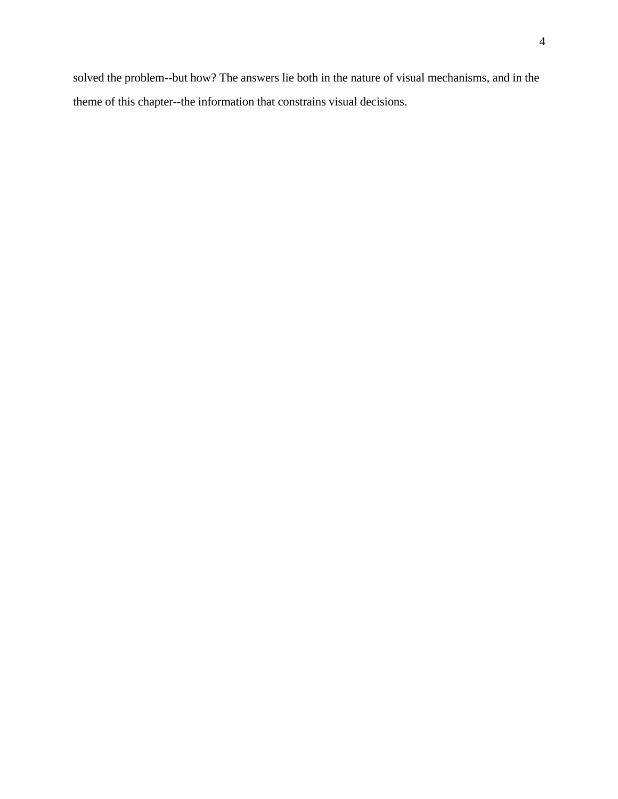solved the problem--but how? The answers lie both in the nature of visual mechanisms, and in the theme of this chapter--the information that constrains visual decisions.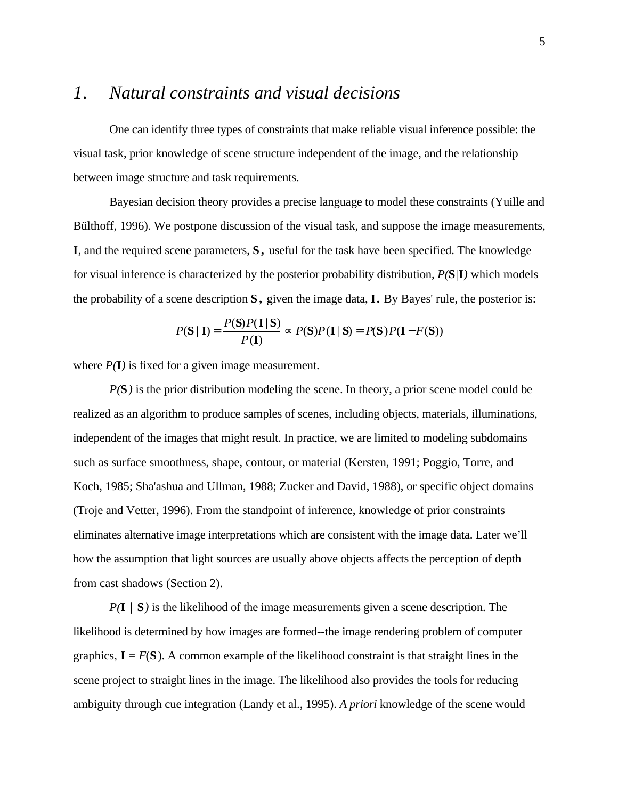# *1. Natural constraints and visual decisions*

One can identify three types of constraints that make reliable visual inference possible: the visual task, prior knowledge of scene structure independent of the image, and the relationship between image structure and task requirements.

Bayesian decision theory provides a precise language to model these constraints (Yuille and Bülthoff, 1996). We postpone discussion of the visual task, and suppose the image measurements, **I**, and the required scene parameters, **S ,** useful for the task have been specified. The knowledge for visual inference is characterized by the posterior probability distribution, *P(***S**|**I***)* which models the probability of a scene description **S ,** given the image data, **I.** By Bayes' rule, the posterior is:

$$
P(\mathbf{S} \mid \mathbf{I}) = \frac{P(\mathbf{S})P(\mathbf{I} \mid \mathbf{S})}{P(\mathbf{I})} \qquad P(\mathbf{S})P(\mathbf{I} \mid \mathbf{S}) = P(\mathbf{S})P(\mathbf{I} - F(\mathbf{S}))
$$

where  $P(\mathbf{I})$  is fixed for a given image measurement.

*P(***S***)* is the prior distribution modeling the scene. In theory, a prior scene model could be realized as an algorithm to produce samples of scenes, including objects, materials, illuminations, independent of the images that might result. In practice, we are limited to modeling subdomains such as surface smoothness, shape, contour, or material (Kersten, 1991; Poggio, Torre, and Koch, 1985; Sha'ashua and Ullman, 1988; Zucker and David, 1988), or specific object domains (Troje and Vetter, 1996). From the standpoint of inference, knowledge of prior constraints eliminates alternative image interpretations which are consistent with the image data. Later we'll how the assumption that light sources are usually above objects affects the perception of depth from cast shadows (Section 2).

*P(***I | S***)* is the likelihood of the image measurements given a scene description. The likelihood is determined by how images are formed--the image rendering problem of computer graphics,  $I = F(S)$ . A common example of the likelihood constraint is that straight lines in the scene project to straight lines in the image. The likelihood also provides the tools for reducing ambiguity through cue integration (Landy et al., 1995). *A priori* knowledge of the scene would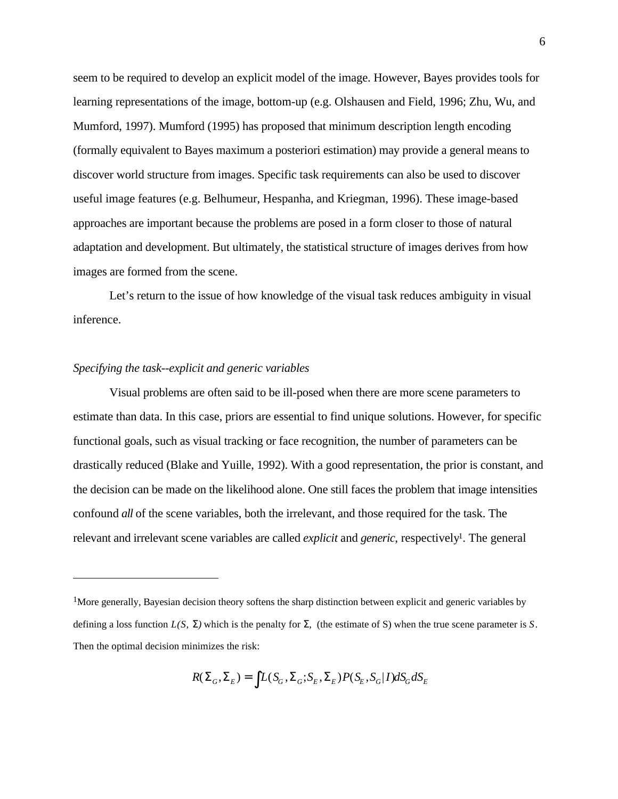seem to be required to develop an explicit model of the image. However, Bayes provides tools for learning representations of the image, bottom-up (e.g. Olshausen and Field, 1996; Zhu, Wu, and Mumford, 1997). Mumford (1995) has proposed that minimum description length encoding (formally equivalent to Bayes maximum a posteriori estimation) may provide a general means to discover world structure from images. Specific task requirements can also be used to discover useful image features (e.g. Belhumeur, Hespanha, and Kriegman, 1996). These image-based approaches are important because the problems are posed in a form closer to those of natural adaptation and development. But ultimately, the statistical structure of images derives from how images are formed from the scene.

Let's return to the issue of how knowledge of the visual task reduces ambiguity in visual inference.

#### *Specifying the task--explicit and generic variables*

 $\overline{a}$ 

Visual problems are often said to be ill-posed when there are more scene parameters to estimate than data. In this case, priors are essential to find unique solutions. However, for specific functional goals, such as visual tracking or face recognition, the number of parameters can be drastically reduced (Blake and Yuille, 1992). With a good representation, the prior is constant, and the decision can be made on the likelihood alone. One still faces the problem that image intensities confound *all* of the scene variables, both the irrelevant, and those required for the task. The relevant and irrelevant scene variables are called *explicit* and *generic*, respectively<sup>1</sup>. The general

 $R(\begin{bmatrix} G, & E \end{bmatrix}) = L(S_G, \begin{bmatrix} G, S_E, & E \end{bmatrix}) P(S_E, S_G | I) dS_G dS_E$ 

<sup>&</sup>lt;sup>1</sup>More generally, Bayesian decision theory softens the sharp distinction between explicit and generic variables by defining a loss function *L(S, )* which is the penalty for , (the estimate of S) when the true scene parameter is *S*. Then the optimal decision minimizes the risk: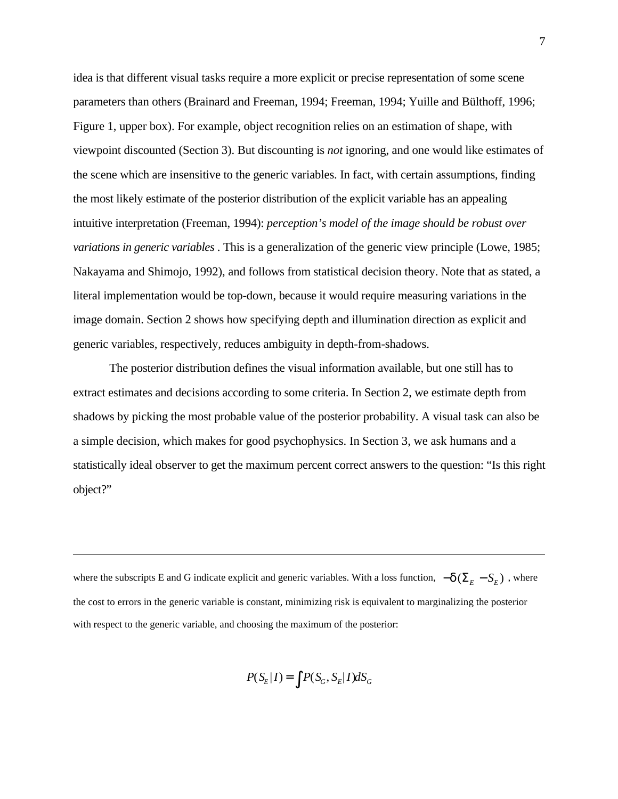idea is that different visual tasks require a more explicit or precise representation of some scene parameters than others (Brainard and Freeman, 1994; Freeman, 1994; Yuille and Bülthoff, 1996; Figure 1, upper box). For example, object recognition relies on an estimation of shape, with viewpoint discounted (Section 3). But discounting is *not* ignoring, and one would like estimates of the scene which are insensitive to the generic variables. In fact, with certain assumptions, finding the most likely estimate of the posterior distribution of the explicit variable has an appealing intuitive interpretation (Freeman, 1994): *perception's model of the image should be robust over variations in generic variables* . This is a generalization of the generic view principle (Lowe, 1985; Nakayama and Shimojo, 1992), and follows from statistical decision theory. Note that as stated, a literal implementation would be top-down, because it would require measuring variations in the image domain. Section 2 shows how specifying depth and illumination direction as explicit and generic variables, respectively, reduces ambiguity in depth-from-shadows.

The posterior distribution defines the visual information available, but one still has to extract estimates and decisions according to some criteria. In Section 2, we estimate depth from shadows by picking the most probable value of the posterior probability. A visual task can also be a simple decision, which makes for good psychophysics. In Section 3, we ask humans and a statistically ideal observer to get the maximum percent correct answers to the question: "Is this right object?"

where the subscripts E and G indicate explicit and generic variables. With a loss function,  $-$  ( $E - S_E$ ), where the cost to errors in the generic variable is constant, minimizing risk is equivalent to marginalizing the posterior with respect to the generic variable, and choosing the maximum of the posterior:

 $\overline{a}$ 

$$
P(S_E|I) = P(S_G, S_E|I)dS_G
$$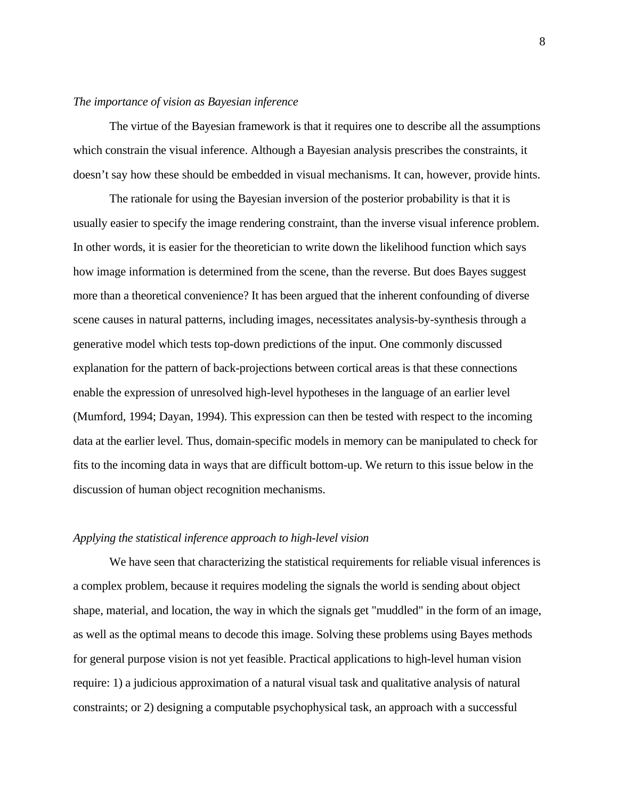#### *The importance of vision as Bayesian inference*

The virtue of the Bayesian framework is that it requires one to describe all the assumptions which constrain the visual inference. Although a Bayesian analysis prescribes the constraints, it doesn't say how these should be embedded in visual mechanisms. It can, however, provide hints.

The rationale for using the Bayesian inversion of the posterior probability is that it is usually easier to specify the image rendering constraint, than the inverse visual inference problem. In other words, it is easier for the theoretician to write down the likelihood function which says how image information is determined from the scene, than the reverse. But does Bayes suggest more than a theoretical convenience? It has been argued that the inherent confounding of diverse scene causes in natural patterns, including images, necessitates analysis-by-synthesis through a generative model which tests top-down predictions of the input. One commonly discussed explanation for the pattern of back-projections between cortical areas is that these connections enable the expression of unresolved high-level hypotheses in the language of an earlier level (Mumford, 1994; Dayan, 1994). This expression can then be tested with respect to the incoming data at the earlier level. Thus, domain-specific models in memory can be manipulated to check for fits to the incoming data in ways that are difficult bottom-up. We return to this issue below in the discussion of human object recognition mechanisms.

#### *Applying the statistical inference approach to high-level vision*

We have seen that characterizing the statistical requirements for reliable visual inferences is a complex problem, because it requires modeling the signals the world is sending about object shape, material, and location, the way in which the signals get "muddled" in the form of an image, as well as the optimal means to decode this image. Solving these problems using Bayes methods for general purpose vision is not yet feasible. Practical applications to high-level human vision require: 1) a judicious approximation of a natural visual task and qualitative analysis of natural constraints; or 2) designing a computable psychophysical task, an approach with a successful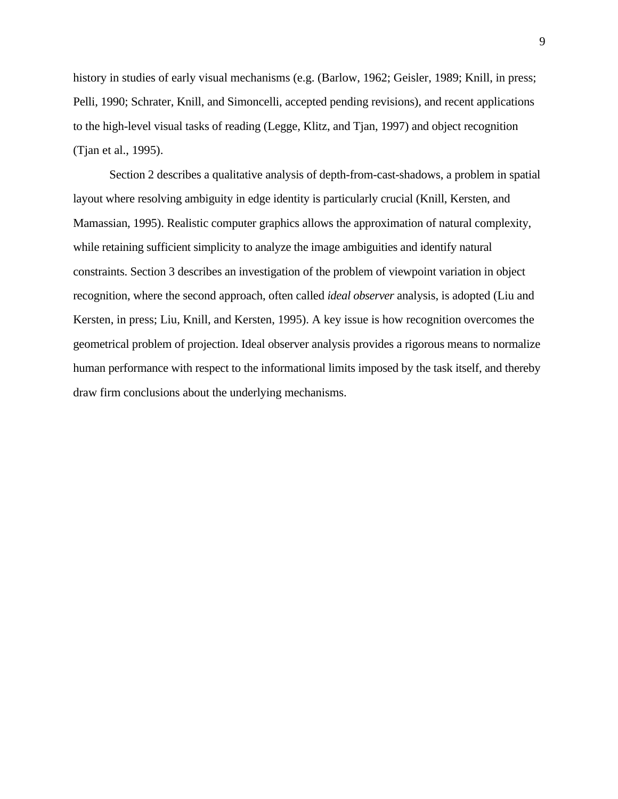history in studies of early visual mechanisms (e.g. (Barlow, 1962; Geisler, 1989; Knill, in press; Pelli, 1990; Schrater, Knill, and Simoncelli, accepted pending revisions), and recent applications to the high-level visual tasks of reading (Legge, Klitz, and Tjan, 1997) and object recognition (Tjan et al., 1995).

Section 2 describes a qualitative analysis of depth-from-cast-shadows, a problem in spatial layout where resolving ambiguity in edge identity is particularly crucial (Knill, Kersten, and Mamassian, 1995). Realistic computer graphics allows the approximation of natural complexity, while retaining sufficient simplicity to analyze the image ambiguities and identify natural constraints. Section 3 describes an investigation of the problem of viewpoint variation in object recognition, where the second approach, often called *ideal observer* analysis, is adopted (Liu and Kersten, in press; Liu, Knill, and Kersten, 1995). A key issue is how recognition overcomes the geometrical problem of projection. Ideal observer analysis provides a rigorous means to normalize human performance with respect to the informational limits imposed by the task itself, and thereby draw firm conclusions about the underlying mechanisms.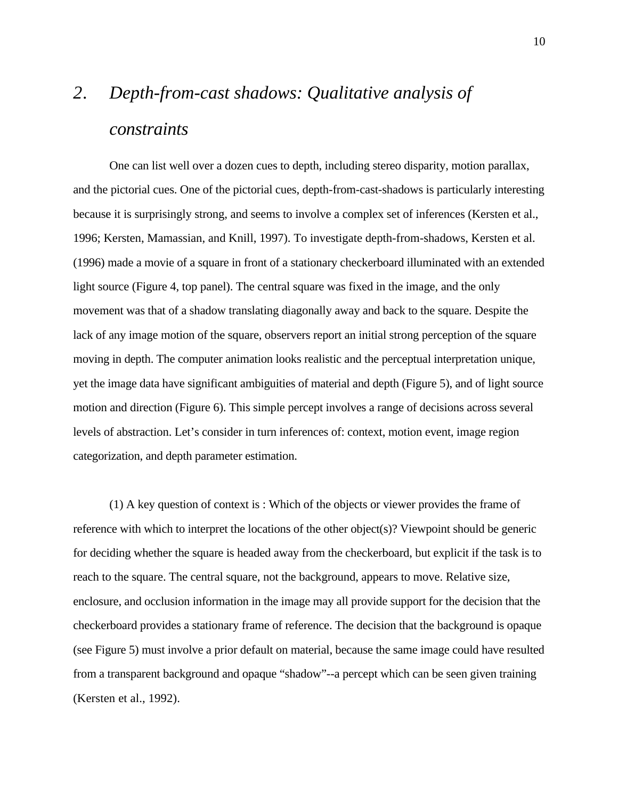# *2. Depth-from-cast shadows: Qualitative analysis of constraints*

One can list well over a dozen cues to depth, including stereo disparity, motion parallax, and the pictorial cues. One of the pictorial cues, depth-from-cast-shadows is particularly interesting because it is surprisingly strong, and seems to involve a complex set of inferences (Kersten et al., 1996; Kersten, Mamassian, and Knill, 1997). To investigate depth-from-shadows, Kersten et al. (1996) made a movie of a square in front of a stationary checkerboard illuminated with an extended light source (Figure 4, top panel). The central square was fixed in the image, and the only movement was that of a shadow translating diagonally away and back to the square. Despite the lack of any image motion of the square, observers report an initial strong perception of the square moving in depth. The computer animation looks realistic and the perceptual interpretation unique, yet the image data have significant ambiguities of material and depth (Figure 5), and of light source motion and direction (Figure 6). This simple percept involves a range of decisions across several levels of abstraction. Let's consider in turn inferences of: context, motion event, image region categorization, and depth parameter estimation.

(1) A key question of context is : Which of the objects or viewer provides the frame of reference with which to interpret the locations of the other object(s)? Viewpoint should be generic for deciding whether the square is headed away from the checkerboard, but explicit if the task is to reach to the square. The central square, not the background, appears to move. Relative size, enclosure, and occlusion information in the image may all provide support for the decision that the checkerboard provides a stationary frame of reference. The decision that the background is opaque (see Figure 5) must involve a prior default on material, because the same image could have resulted from a transparent background and opaque "shadow"--a percept which can be seen given training (Kersten et al., 1992).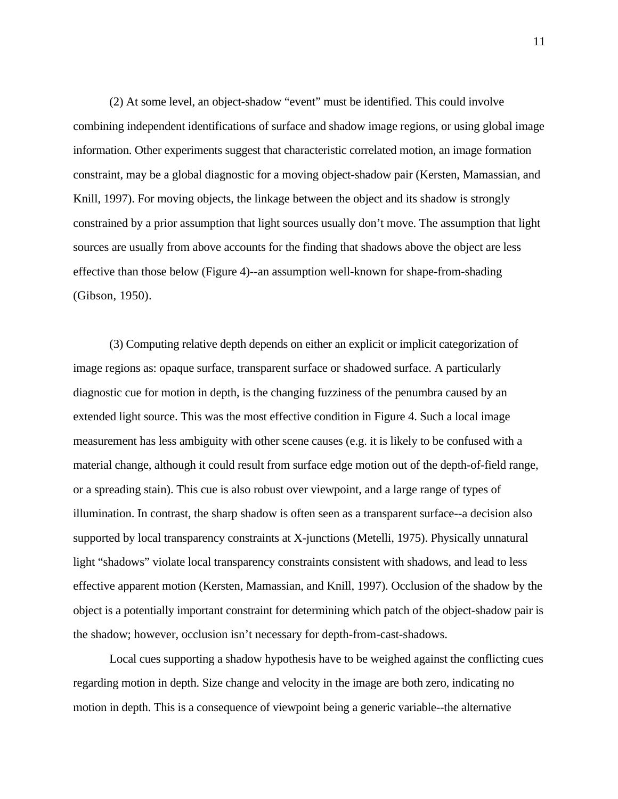(2) At some level, an object-shadow "event" must be identified. This could involve combining independent identifications of surface and shadow image regions, or using global image information. Other experiments suggest that characteristic correlated motion, an image formation constraint, may be a global diagnostic for a moving object-shadow pair (Kersten, Mamassian, and Knill, 1997). For moving objects, the linkage between the object and its shadow is strongly constrained by a prior assumption that light sources usually don't move. The assumption that light sources are usually from above accounts for the finding that shadows above the object are less effective than those below (Figure 4)--an assumption well-known for shape-from-shading (Gibson, 1950).

(3) Computing relative depth depends on either an explicit or implicit categorization of image regions as: opaque surface, transparent surface or shadowed surface. A particularly diagnostic cue for motion in depth, is the changing fuzziness of the penumbra caused by an extended light source. This was the most effective condition in Figure 4. Such a local image measurement has less ambiguity with other scene causes (e.g. it is likely to be confused with a material change, although it could result from surface edge motion out of the depth-of-field range, or a spreading stain). This cue is also robust over viewpoint, and a large range of types of illumination. In contrast, the sharp shadow is often seen as a transparent surface--a decision also supported by local transparency constraints at X-junctions (Metelli, 1975). Physically unnatural light "shadows" violate local transparency constraints consistent with shadows, and lead to less effective apparent motion (Kersten, Mamassian, and Knill, 1997). Occlusion of the shadow by the object is a potentially important constraint for determining which patch of the object-shadow pair is the shadow; however, occlusion isn't necessary for depth-from-cast-shadows.

Local cues supporting a shadow hypothesis have to be weighed against the conflicting cues regarding motion in depth. Size change and velocity in the image are both zero, indicating no motion in depth. This is a consequence of viewpoint being a generic variable--the alternative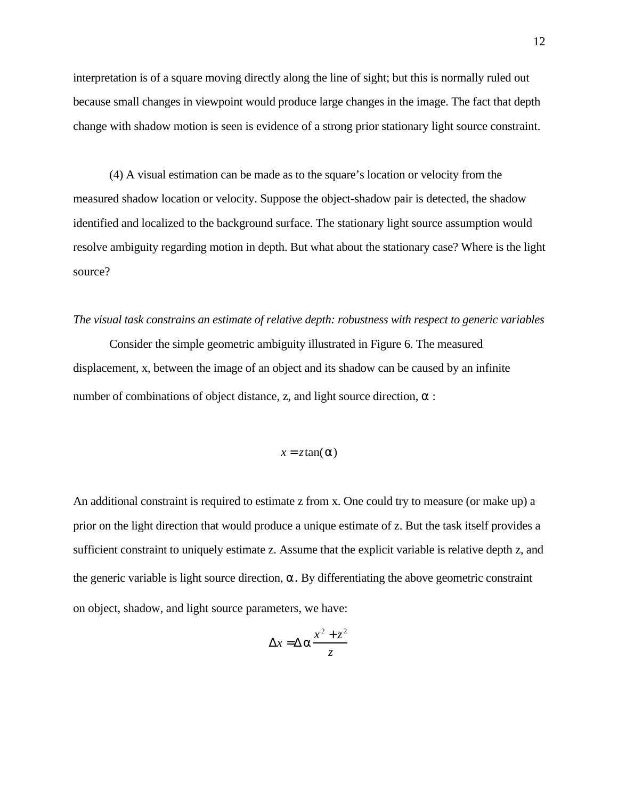interpretation is of a square moving directly along the line of sight; but this is normally ruled out because small changes in viewpoint would produce large changes in the image. The fact that depth change with shadow motion is seen is evidence of a strong prior stationary light source constraint.

(4) A visual estimation can be made as to the square's location or velocity from the measured shadow location or velocity. Suppose the object-shadow pair is detected, the shadow identified and localized to the background surface. The stationary light source assumption would resolve ambiguity regarding motion in depth. But what about the stationary case? Where is the light source?

#### *The visual task constrains an estimate of relative depth: robustness with respect to generic variables*

Consider the simple geometric ambiguity illustrated in Figure 6. The measured displacement, x, between the image of an object and its shadow can be caused by an infinite number of combinations of object distance, z, and light source direction, :

$$
x = z \tan(\ )
$$

An additional constraint is required to estimate z from x. One could try to measure (or make up) a prior on the light direction that would produce a unique estimate of z. But the task itself provides a sufficient constraint to uniquely estimate z. Assume that the explicit variable is relative depth z, and the generic variable is light source direction, α. By differentiating the above geometric constraint on object, shadow, and light source parameters, we have:

$$
x = \frac{x^2 + z^2}{z}
$$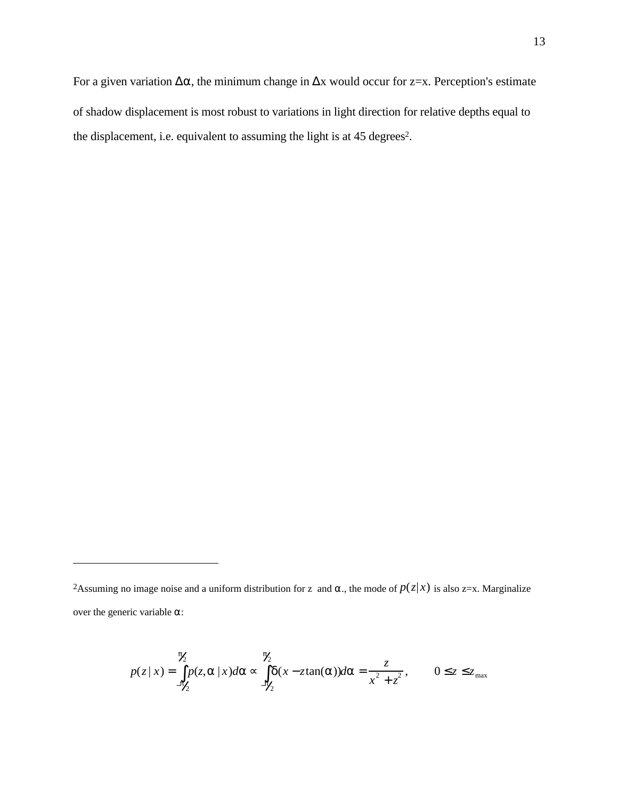For a given variation  $\blacksquare$ , the minimum change in x would occur for z=x. Perception's estimate of shadow displacement is most robust to variations in light direction for relative depths equal to the displacement, i.e. equivalent to assuming the light is at 45 degrees<sup>2</sup>.

 $\overline{a}$ 

$$
p(z|x) = \begin{cases} \n\lambda & \lambda \\ \np(z, \, |x) \, d & \lambda \\ \n-\lambda & \lambda \n\end{cases} \quad (x - z \tan(\lambda)) \, d = \frac{z}{x^2 + z^2}, \qquad 0 \quad z \quad z_{\text{max}}
$$

<sup>&</sup>lt;sup>2</sup>Assuming no image noise and a uniform distribution for z and ., the mode of  $p(z|x)$  is also z=x. Marginalize over the generic variable :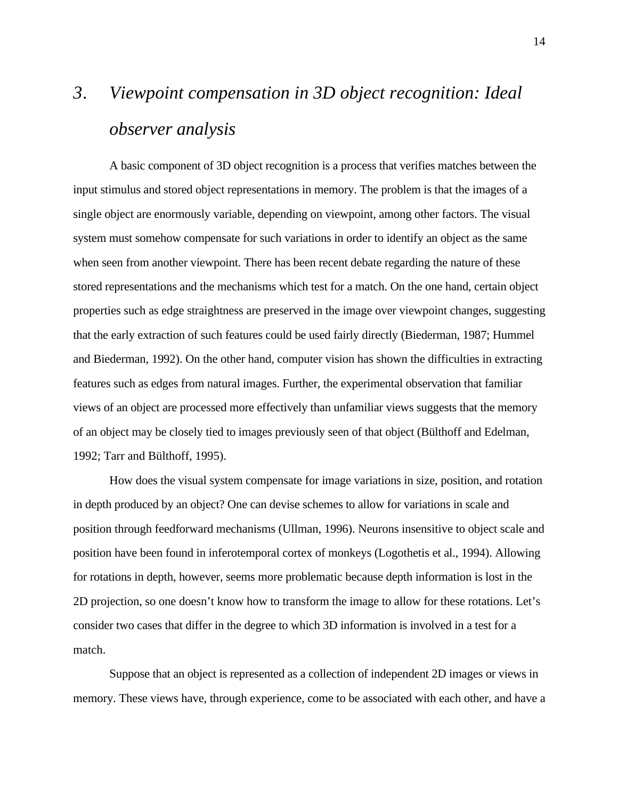# *3. Viewpoint compensation in 3D object recognition: Ideal observer analysis*

A basic component of 3D object recognition is a process that verifies matches between the input stimulus and stored object representations in memory. The problem is that the images of a single object are enormously variable, depending on viewpoint, among other factors. The visual system must somehow compensate for such variations in order to identify an object as the same when seen from another viewpoint. There has been recent debate regarding the nature of these stored representations and the mechanisms which test for a match. On the one hand, certain object properties such as edge straightness are preserved in the image over viewpoint changes, suggesting that the early extraction of such features could be used fairly directly (Biederman, 1987; Hummel and Biederman, 1992). On the other hand, computer vision has shown the difficulties in extracting features such as edges from natural images. Further, the experimental observation that familiar views of an object are processed more effectively than unfamiliar views suggests that the memory of an object may be closely tied to images previously seen of that object (Bülthoff and Edelman, 1992; Tarr and Bülthoff, 1995).

How does the visual system compensate for image variations in size, position, and rotation in depth produced by an object? One can devise schemes to allow for variations in scale and position through feedforward mechanisms (Ullman, 1996). Neurons insensitive to object scale and position have been found in inferotemporal cortex of monkeys (Logothetis et al., 1994). Allowing for rotations in depth, however, seems more problematic because depth information is lost in the 2D projection, so one doesn't know how to transform the image to allow for these rotations. Let's consider two cases that differ in the degree to which 3D information is involved in a test for a match.

Suppose that an object is represented as a collection of independent 2D images or views in memory. These views have, through experience, come to be associated with each other, and have a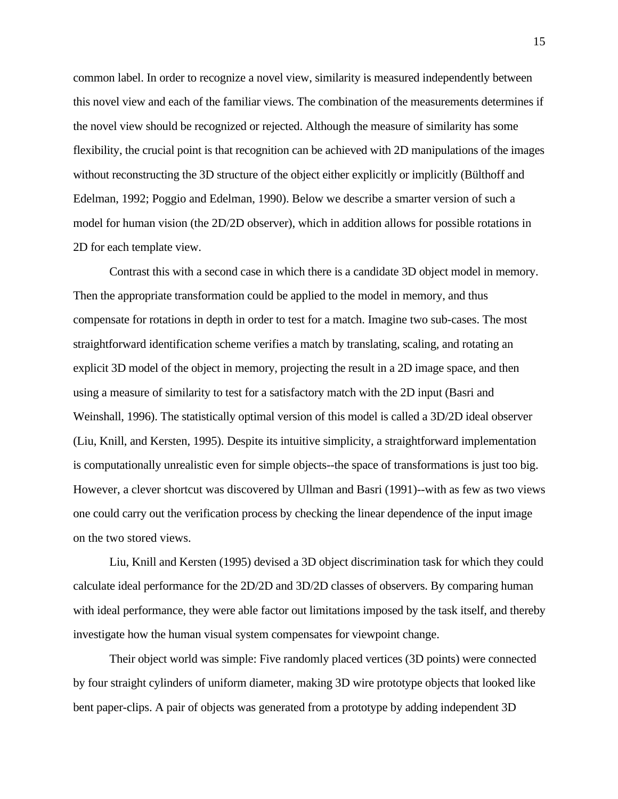common label. In order to recognize a novel view, similarity is measured independently between this novel view and each of the familiar views. The combination of the measurements determines if the novel view should be recognized or rejected. Although the measure of similarity has some flexibility, the crucial point is that recognition can be achieved with 2D manipulations of the images without reconstructing the 3D structure of the object either explicitly or implicitly (Bülthoff and Edelman, 1992; Poggio and Edelman, 1990). Below we describe a smarter version of such a model for human vision (the 2D/2D observer), which in addition allows for possible rotations in 2D for each template view.

Contrast this with a second case in which there is a candidate 3D object model in memory. Then the appropriate transformation could be applied to the model in memory, and thus compensate for rotations in depth in order to test for a match. Imagine two sub-cases. The most straightforward identification scheme verifies a match by translating, scaling, and rotating an explicit 3D model of the object in memory, projecting the result in a 2D image space, and then using a measure of similarity to test for a satisfactory match with the 2D input (Basri and Weinshall, 1996). The statistically optimal version of this model is called a 3D/2D ideal observer (Liu, Knill, and Kersten, 1995). Despite its intuitive simplicity, a straightforward implementation is computationally unrealistic even for simple objects--the space of transformations is just too big. However, a clever shortcut was discovered by Ullman and Basri (1991)--with as few as two views one could carry out the verification process by checking the linear dependence of the input image on the two stored views.

Liu, Knill and Kersten (1995) devised a 3D object discrimination task for which they could calculate ideal performance for the 2D/2D and 3D/2D classes of observers. By comparing human with ideal performance, they were able factor out limitations imposed by the task itself, and thereby investigate how the human visual system compensates for viewpoint change.

Their object world was simple: Five randomly placed vertices (3D points) were connected by four straight cylinders of uniform diameter, making 3D wire prototype objects that looked like bent paper-clips. A pair of objects was generated from a prototype by adding independent 3D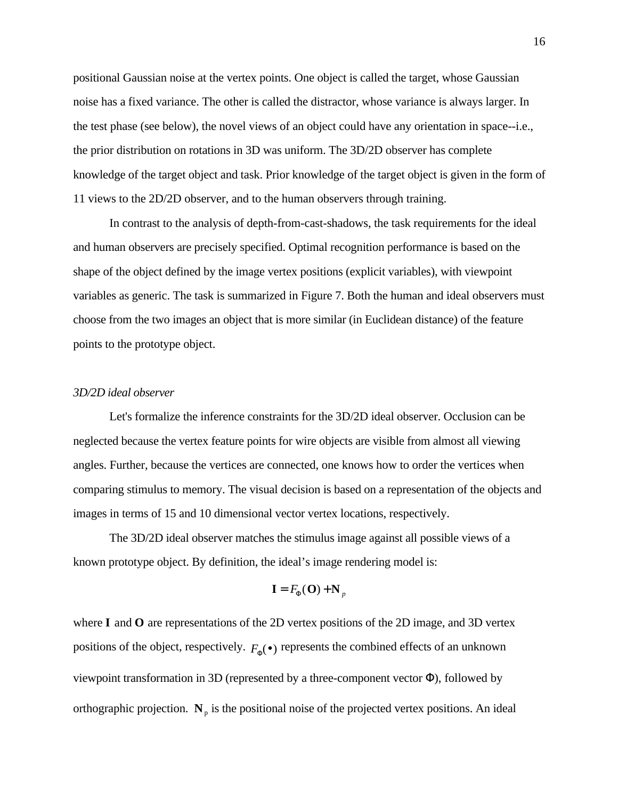positional Gaussian noise at the vertex points. One object is called the target, whose Gaussian noise has a fixed variance. The other is called the distractor, whose variance is always larger. In the test phase (see below), the novel views of an object could have any orientation in space--i.e., the prior distribution on rotations in 3D was uniform. The 3D/2D observer has complete knowledge of the target object and task. Prior knowledge of the target object is given in the form of 11 views to the 2D/2D observer, and to the human observers through training.

In contrast to the analysis of depth-from-cast-shadows, the task requirements for the ideal and human observers are precisely specified. Optimal recognition performance is based on the shape of the object defined by the image vertex positions (explicit variables), with viewpoint variables as generic. The task is summarized in Figure 7. Both the human and ideal observers must choose from the two images an object that is more similar (in Euclidean distance) of the feature points to the prototype object.

#### *3D/2D ideal observer*

Let's formalize the inference constraints for the 3D/2D ideal observer. Occlusion can be neglected because the vertex feature points for wire objects are visible from almost all viewing angles. Further, because the vertices are connected, one knows how to order the vertices when comparing stimulus to memory. The visual decision is based on a representation of the objects and images in terms of 15 and 10 dimensional vector vertex locations, respectively.

The 3D/2D ideal observer matches the stimulus image against all possible views of a known prototype object. By definition, the ideal's image rendering model is:

$$
\mathbf{I} = F(\mathbf{O}) + \mathbf{N}_p
$$

where **I** and **O** are representations of the 2D vertex positions of the 2D image, and 3D vertex positions of the object, respectively.  $F(\cdot)$  represents the combined effects of an unknown viewpoint transformation in 3D (represented by a three-component vector ), followed by orthographic projection.  $N_p$  is the positional noise of the projected vertex positions. An ideal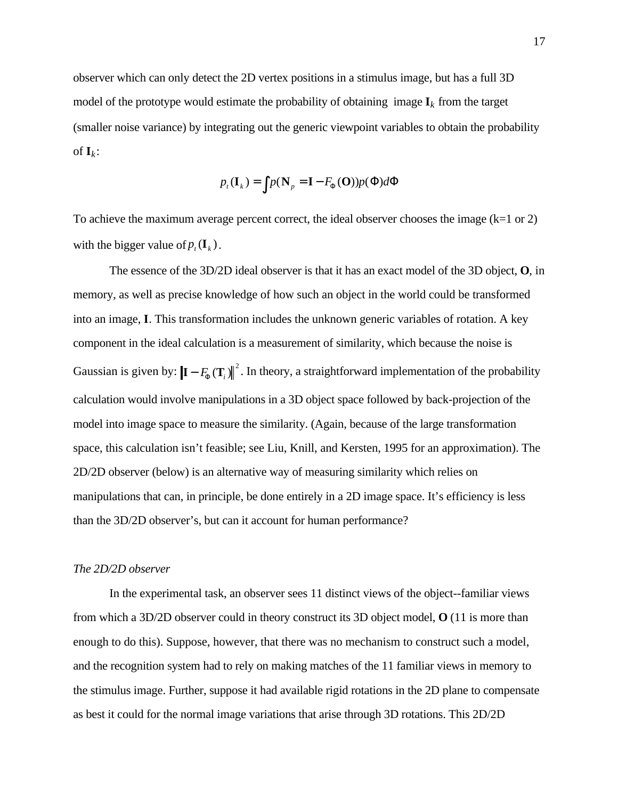observer which can only detect the 2D vertex positions in a stimulus image, but has a full 3D model of the prototype would estimate the probability of obtaining image  $\mathbf{I}_k$  from the target (smaller noise variance) by integrating out the generic viewpoint variables to obtain the probability of  $\mathbf{I}_k$ :

$$
p_t(\mathbf{I}_k) = p(\mathbf{N}_p = \mathbf{I} - F(\mathbf{O}))p(\mathbf{I})d
$$

To achieve the maximum average percent correct, the ideal observer chooses the image  $(k=1 \text{ or } 2)$ with the bigger value of  $p_t(\mathbf{I}_k)$ .

The essence of the 3D/2D ideal observer is that it has an exact model of the 3D object, **O**, in memory, as well as precise knowledge of how such an object in the world could be transformed into an image, **I**. This transformation includes the unknown generic variables of rotation. A key component in the ideal calculation is a measurement of similarity, which because the noise is Gaussian is given by:  $\left|I - F(T_i)\right|^2$ . In theory, a straightforward implementation of the probability calculation would involve manipulations in a 3D object space followed by back-projection of the model into image space to measure the similarity. (Again, because of the large transformation space, this calculation isn't feasible; see Liu, Knill, and Kersten, 1995 for an approximation). The 2D/2D observer (below) is an alternative way of measuring similarity which relies on manipulations that can, in principle, be done entirely in a 2D image space. It's efficiency is less than the 3D/2D observer's, but can it account for human performance?

#### *The 2D/2D observer*

In the experimental task, an observer sees 11 distinct views of the object--familiar views from which a 3D/2D observer could in theory construct its 3D object model, **O** (11 is more than enough to do this). Suppose, however, that there was no mechanism to construct such a model, and the recognition system had to rely on making matches of the 11 familiar views in memory to the stimulus image. Further, suppose it had available rigid rotations in the 2D plane to compensate as best it could for the normal image variations that arise through 3D rotations. This 2D/2D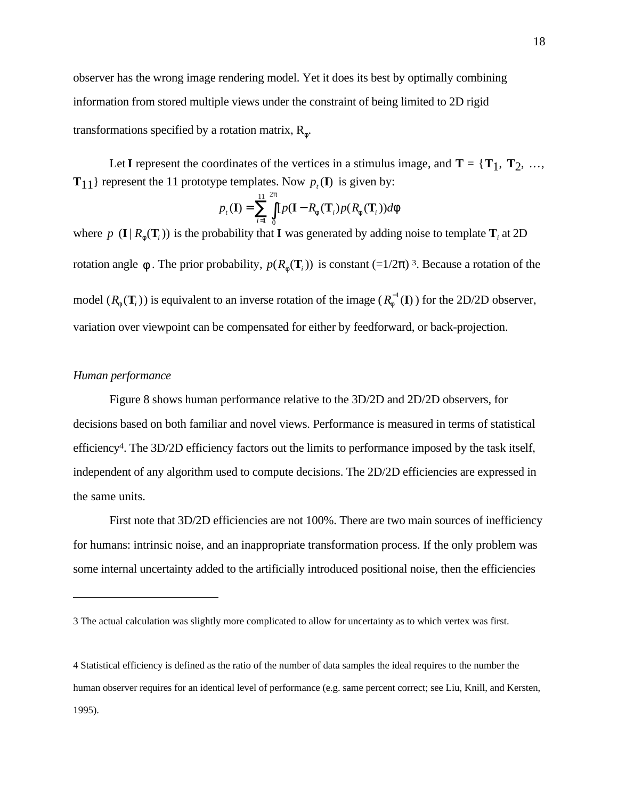observer has the wrong image rendering model. Yet it does its best by optimally combining information from stored multiple views under the constraint of being limited to 2D rigid transformations specified by a rotation matrix, R .

Let **I** represent the coordinates of the vertices in a stimulus image, and  $T = \{T_1, T_2, \ldots, T_n\}$ **T**<sub>11</sub>} represent the 11 prototype templates. Now  $p_t$ (**I**) is given by:

$$
p_{t}(\mathbf{I}) = \int_{i=1}^{11/2} [p(\mathbf{I} - R_{i}(\mathbf{T}_{i}))p(R_{i}(\mathbf{T}_{i}))d]
$$

where  $p(\mathbf{I} | R(\mathbf{T}_i))$  is the probability that **I** was generated by adding noise to template  $\mathbf{T}_i$  at 2D rotation angle  $\therefore$  The prior probability,  $p(R(T_i))$  is constant  $(=1/2)$  3. Because a rotation of the model (*R* ( $\mathbf{T}_i$ )) is equivalent to an inverse rotation of the image ( $R^{-1}(\mathbf{I})$ ) for the 2D/2D observer, variation over viewpoint can be compensated for either by feedforward, or back-projection.

#### *Human performance*

 $\overline{a}$ 

Figure 8 shows human performance relative to the 3D/2D and 2D/2D observers, for decisions based on both familiar and novel views. Performance is measured in terms of statistical efficiency<sup>4</sup>. The 3D/2D efficiency factors out the limits to performance imposed by the task itself, independent of any algorithm used to compute decisions. The 2D/2D efficiencies are expressed in the same units.

First note that 3D/2D efficiencies are not 100%. There are two main sources of inefficiency for humans: intrinsic noise, and an inappropriate transformation process. If the only problem was some internal uncertainty added to the artificially introduced positional noise, then the efficiencies

4 Statistical efficiency is defined as the ratio of the number of data samples the ideal requires to the number the human observer requires for an identical level of performance (e.g. same percent correct; see Liu, Knill, and Kersten, 1995).

<sup>3</sup> The actual calculation was slightly more complicated to allow for uncertainty as to which vertex was first.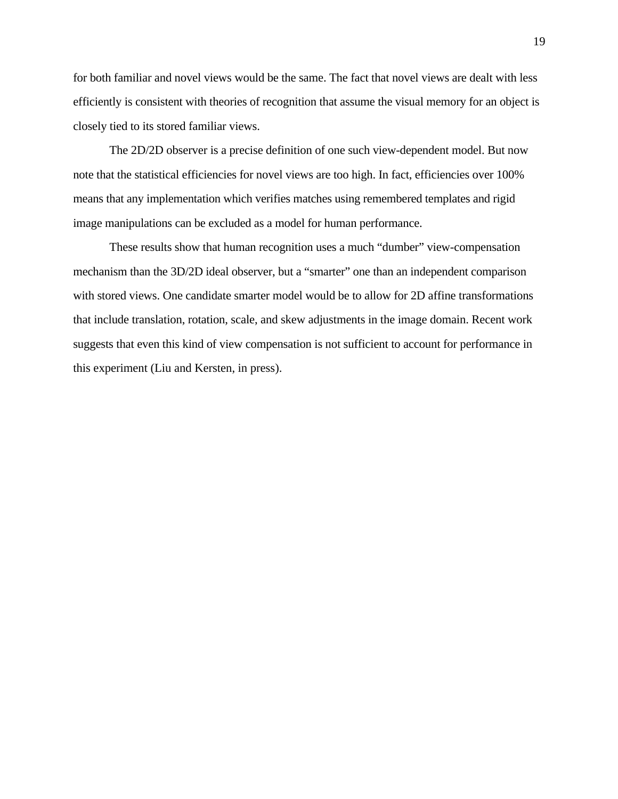for both familiar and novel views would be the same. The fact that novel views are dealt with less efficiently is consistent with theories of recognition that assume the visual memory for an object is closely tied to its stored familiar views.

The 2D/2D observer is a precise definition of one such view-dependent model. But now note that the statistical efficiencies for novel views are too high. In fact, efficiencies over 100% means that any implementation which verifies matches using remembered templates and rigid image manipulations can be excluded as a model for human performance.

These results show that human recognition uses a much "dumber" view-compensation mechanism than the 3D/2D ideal observer, but a "smarter" one than an independent comparison with stored views. One candidate smarter model would be to allow for 2D affine transformations that include translation, rotation, scale, and skew adjustments in the image domain. Recent work suggests that even this kind of view compensation is not sufficient to account for performance in this experiment (Liu and Kersten, in press).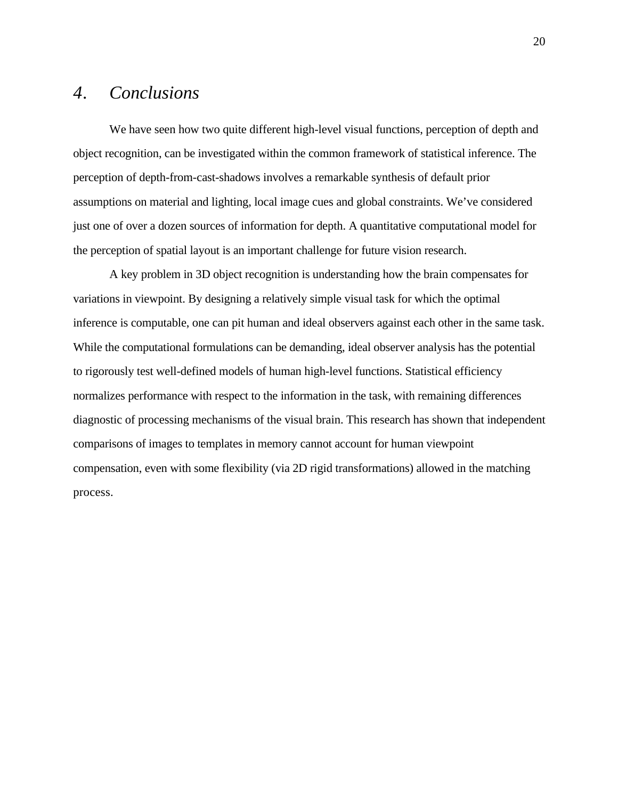# *4. Conclusions*

We have seen how two quite different high-level visual functions, perception of depth and object recognition, can be investigated within the common framework of statistical inference. The perception of depth-from-cast-shadows involves a remarkable synthesis of default prior assumptions on material and lighting, local image cues and global constraints. We've considered just one of over a dozen sources of information for depth. A quantitative computational model for the perception of spatial layout is an important challenge for future vision research.

A key problem in 3D object recognition is understanding how the brain compensates for variations in viewpoint. By designing a relatively simple visual task for which the optimal inference is computable, one can pit human and ideal observers against each other in the same task. While the computational formulations can be demanding, ideal observer analysis has the potential to rigorously test well-defined models of human high-level functions. Statistical efficiency normalizes performance with respect to the information in the task, with remaining differences diagnostic of processing mechanisms of the visual brain. This research has shown that independent comparisons of images to templates in memory cannot account for human viewpoint compensation, even with some flexibility (via 2D rigid transformations) allowed in the matching process.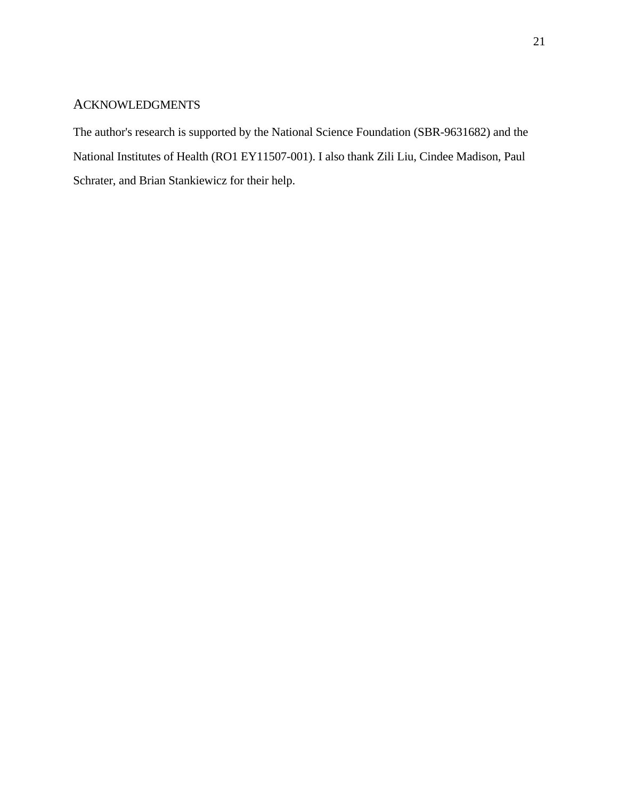### ACKNOWLEDGMENTS

The author's research is supported by the National Science Foundation (SBR-9631682) and the National Institutes of Health (RO1 EY11507-001). I also thank Zili Liu, Cindee Madison, Paul Schrater, and Brian Stankiewicz for their help.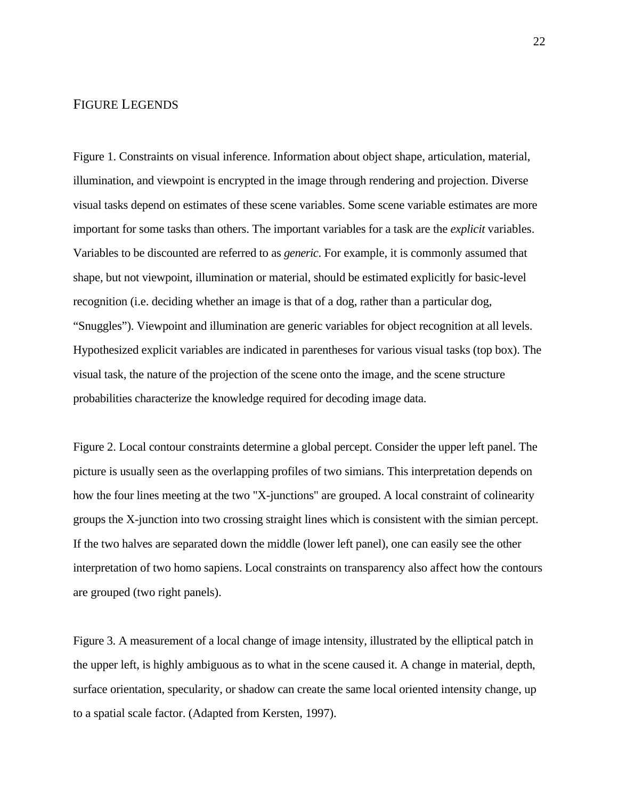#### FIGURE LEGENDS

Figure 1. Constraints on visual inference. Information about object shape, articulation, material, illumination, and viewpoint is encrypted in the image through rendering and projection. Diverse visual tasks depend on estimates of these scene variables. Some scene variable estimates are more important for some tasks than others. The important variables for a task are the *explicit* variables. Variables to be discounted are referred to as *generic*. For example, it is commonly assumed that shape, but not viewpoint, illumination or material, should be estimated explicitly for basic-level recognition (i.e. deciding whether an image is that of a dog, rather than a particular dog, "Snuggles"). Viewpoint and illumination are generic variables for object recognition at all levels. Hypothesized explicit variables are indicated in parentheses for various visual tasks (top box). The visual task, the nature of the projection of the scene onto the image, and the scene structure probabilities characterize the knowledge required for decoding image data.

Figure 2. Local contour constraints determine a global percept. Consider the upper left panel. The picture is usually seen as the overlapping profiles of two simians. This interpretation depends on how the four lines meeting at the two "X-junctions" are grouped. A local constraint of colinearity groups the X-junction into two crossing straight lines which is consistent with the simian percept. If the two halves are separated down the middle (lower left panel), one can easily see the other interpretation of two homo sapiens. Local constraints on transparency also affect how the contours are grouped (two right panels).

Figure 3. A measurement of a local change of image intensity, illustrated by the elliptical patch in the upper left, is highly ambiguous as to what in the scene caused it. A change in material, depth, surface orientation, specularity, or shadow can create the same local oriented intensity change, up to a spatial scale factor. (Adapted from Kersten, 1997).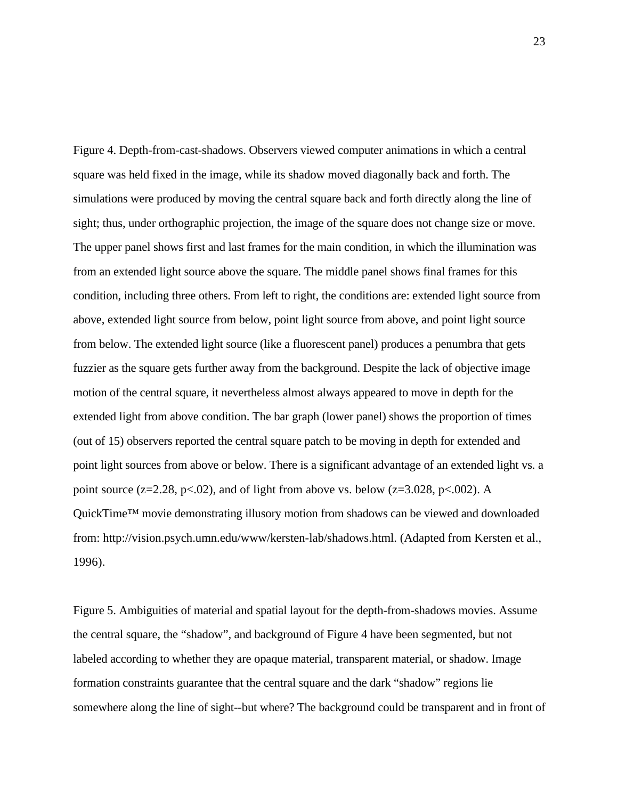Figure 4. Depth-from-cast-shadows. Observers viewed computer animations in which a central square was held fixed in the image, while its shadow moved diagonally back and forth. The simulations were produced by moving the central square back and forth directly along the line of sight; thus, under orthographic projection, the image of the square does not change size or move. The upper panel shows first and last frames for the main condition, in which the illumination was from an extended light source above the square. The middle panel shows final frames for this condition, including three others. From left to right, the conditions are: extended light source from above, extended light source from below, point light source from above, and point light source from below. The extended light source (like a fluorescent panel) produces a penumbra that gets fuzzier as the square gets further away from the background. Despite the lack of objective image motion of the central square, it nevertheless almost always appeared to move in depth for the extended light from above condition. The bar graph (lower panel) shows the proportion of times (out of 15) observers reported the central square patch to be moving in depth for extended and point light sources from above or below. There is a significant advantage of an extended light vs. a point source (z=2.28, p<.02), and of light from above vs. below (z=3.028, p<.002). A QuickTime™ movie demonstrating illusory motion from shadows can be viewed and downloaded from: http://vision.psych.umn.edu/www/kersten-lab/shadows.html. (Adapted from Kersten et al., 1996).

Figure 5. Ambiguities of material and spatial layout for the depth-from-shadows movies. Assume the central square, the "shadow", and background of Figure 4 have been segmented, but not labeled according to whether they are opaque material, transparent material, or shadow. Image formation constraints guarantee that the central square and the dark "shadow" regions lie somewhere along the line of sight--but where? The background could be transparent and in front of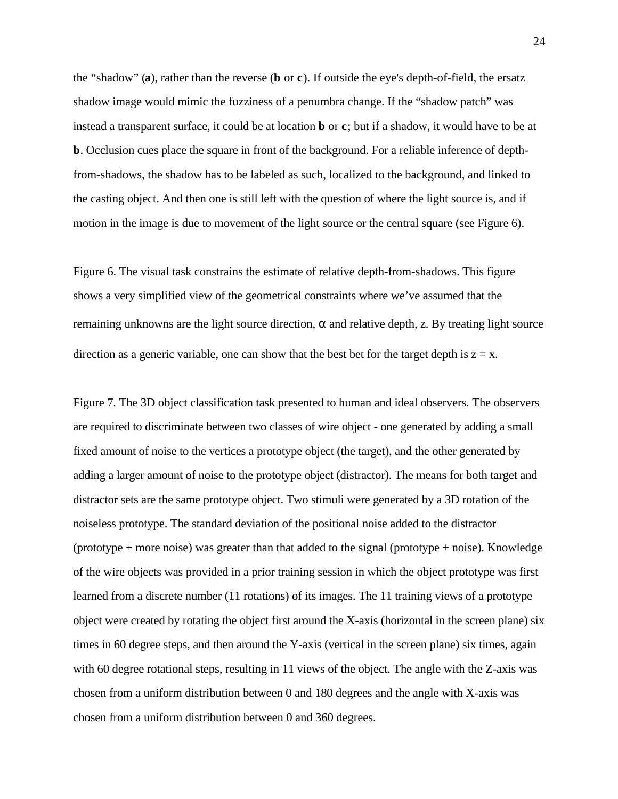the "shadow" (**a**), rather than the reverse (**b** or **c**). If outside the eye's depth-of-field, the ersatz shadow image would mimic the fuzziness of a penumbra change. If the "shadow patch" was instead a transparent surface, it could be at location **b** or **c**; but if a shadow, it would have to be at **b**. Occlusion cues place the square in front of the background. For a reliable inference of depthfrom-shadows, the shadow has to be labeled as such, localized to the background, and linked to the casting object. And then one is still left with the question of where the light source is, and if motion in the image is due to movement of the light source or the central square (see Figure 6).

Figure 6. The visual task constrains the estimate of relative depth-from-shadows. This figure shows a very simplified view of the geometrical constraints where we've assumed that the remaining unknowns are the light source direction, and relative depth, z. By treating light source direction as a generic variable, one can show that the best bet for the target depth is  $z = x$ .

Figure 7. The 3D object classification task presented to human and ideal observers. The observers are required to discriminate between two classes of wire object - one generated by adding a small fixed amount of noise to the vertices a prototype object (the target), and the other generated by adding a larger amount of noise to the prototype object (distractor). The means for both target and distractor sets are the same prototype object. Two stimuli were generated by a 3D rotation of the noiseless prototype. The standard deviation of the positional noise added to the distractor (prototype + more noise) was greater than that added to the signal (prototype + noise). Knowledge of the wire objects was provided in a prior training session in which the object prototype was first learned from a discrete number (11 rotations) of its images. The 11 training views of a prototype object were created by rotating the object first around the X-axis (horizontal in the screen plane) six times in 60 degree steps, and then around the Y-axis (vertical in the screen plane) six times, again with 60 degree rotational steps, resulting in 11 views of the object. The angle with the Z-axis was chosen from a uniform distribution between 0 and 180 degrees and the angle with X-axis was chosen from a uniform distribution between 0 and 360 degrees.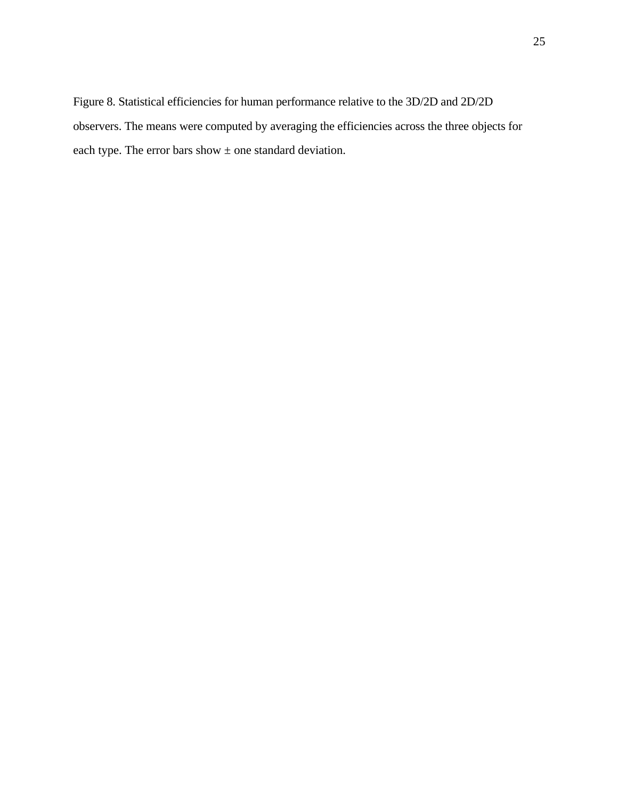Figure 8. Statistical efficiencies for human performance relative to the 3D/2D and 2D/2D observers. The means were computed by averaging the efficiencies across the three objects for each type. The error bars show  $\pm$  one standard deviation.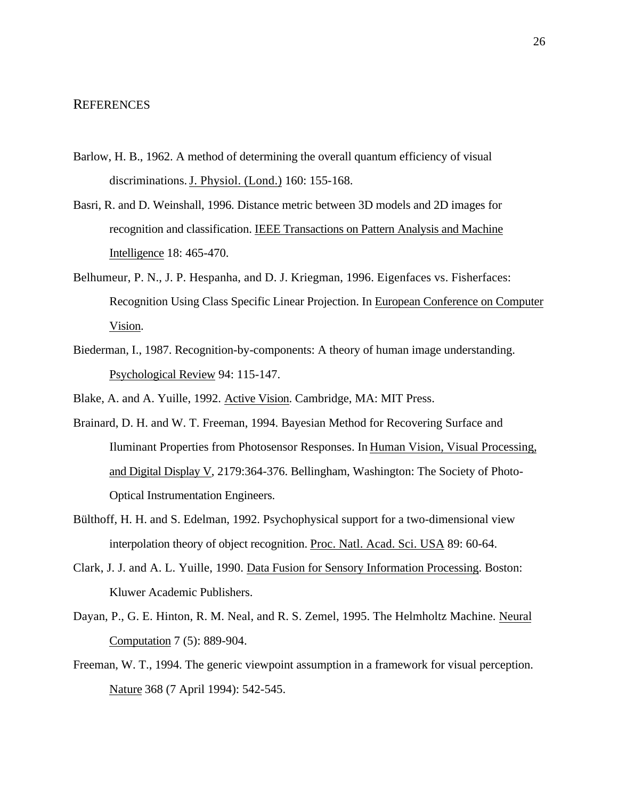#### **REFERENCES**

- Barlow, H. B., 1962. A method of determining the overall quantum efficiency of visual discriminations. J. Physiol. (Lond.) 160: 155-168.
- Basri, R. and D. Weinshall, 1996. Distance metric between 3D models and 2D images for recognition and classification. IEEE Transactions on Pattern Analysis and Machine Intelligence 18: 465-470.
- Belhumeur, P. N., J. P. Hespanha, and D. J. Kriegman, 1996. Eigenfaces vs. Fisherfaces: Recognition Using Class Specific Linear Projection. In European Conference on Computer Vision.
- Biederman, I., 1987. Recognition-by-components: A theory of human image understanding. Psychological Review 94: 115-147.
- Blake, A. and A. Yuille, 1992. Active Vision . Cambridge, MA: MIT Press.
- Brainard, D. H. and W. T. Freeman, 1994. Bayesian Method for Recovering Surface and Iluminant Properties from Photosensor Responses. In Human Vision, Visual Processing, and Digital Display V, 2179:364-376. Bellingham, Washington: The Society of Photo-Optical Instrumentation Engineers.
- Bülthoff, H. H. and S. Edelman, 1992. Psychophysical support for a two-dimensional view interpolation theory of object recognition. Proc. Natl. Acad. Sci. USA 89: 60-64.
- Clark, J. J. and A. L. Yuille, 1990. Data Fusion for Sensory Information Processing . Boston: Kluwer Academic Publishers.
- Dayan, P., G. E. Hinton, R. M. Neal, and R. S. Zemel, 1995. The Helmholtz Machine. Neural Computation 7 (5): 889-904.
- Freeman, W. T., 1994. The generic viewpoint assumption in a framework for visual perception. Nature 368 (7 April 1994): 542-545.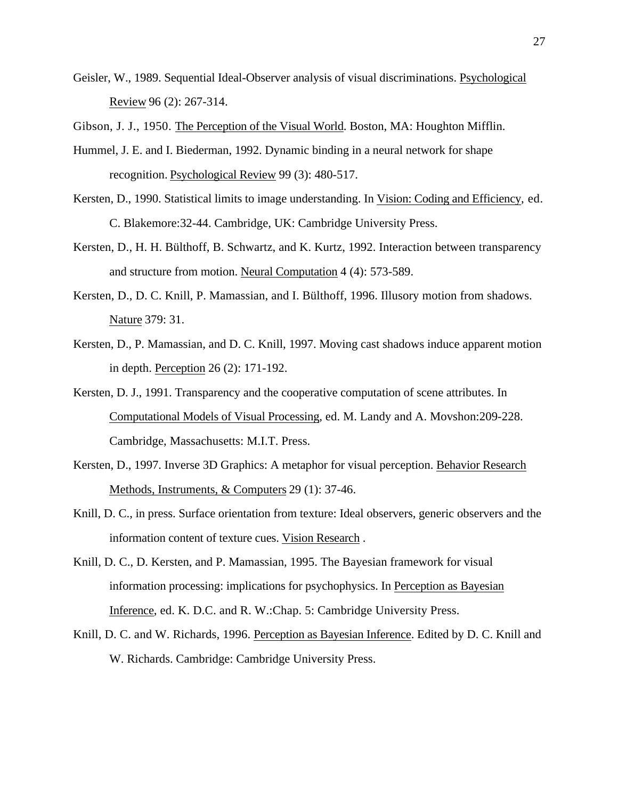Geisler, W., 1989. Sequential Ideal-Observer analysis of visual discriminations. Psychological Review 96 (2): 267-314.

Gibson, J. J., 1950. The Perception of the Visual World. Boston, MA: Houghton Mifflin.

- Hummel, J. E. and I. Biederman, 1992. Dynamic binding in a neural network for shape recognition. Psychological Review 99 (3): 480-517.
- Kersten, D., 1990. Statistical limits to image understanding. In Vision: Coding and Efficiency , ed. C. Blakemore:32-44. Cambridge, UK: Cambridge University Press.
- Kersten, D., H. H. Bülthoff, B. Schwartz, and K. Kurtz, 1992. Interaction between transparency and structure from motion. Neural Computation 4 (4): 573-589.
- Kersten, D., D. C. Knill, P. Mamassian, and I. Bülthoff, 1996. Illusory motion from shadows. Nature 379: 31.
- Kersten, D., P. Mamassian, and D. C. Knill, 1997. Moving cast shadows induce apparent motion in depth. Perception 26 (2): 171-192.
- Kersten, D. J., 1991. Transparency and the cooperative computation of scene attributes. In Computational Models of Visual Processing , ed. M. Landy and A. Movshon:209-228. Cambridge, Massachusetts: M.I.T. Press.
- Kersten, D., 1997. Inverse 3D Graphics: A metaphor for visual perception. Behavior Research Methods, Instruments, & Computers 29 (1): 37-46.
- Knill, D. C., in press. Surface orientation from texture: Ideal observers, generic observers and the information content of texture cues. Vision Research .
- Knill, D. C., D. Kersten, and P. Mamassian, 1995. The Bayesian framework for visual information processing: implications for psychophysics. In Perception as Bayesian Inference, ed. K. D.C. and R. W.:Chap. 5: Cambridge University Press.
- Knill, D. C. and W. Richards, 1996. Perception as Bayesian Inference . Edited by D. C. Knill and W. Richards. Cambridge: Cambridge University Press.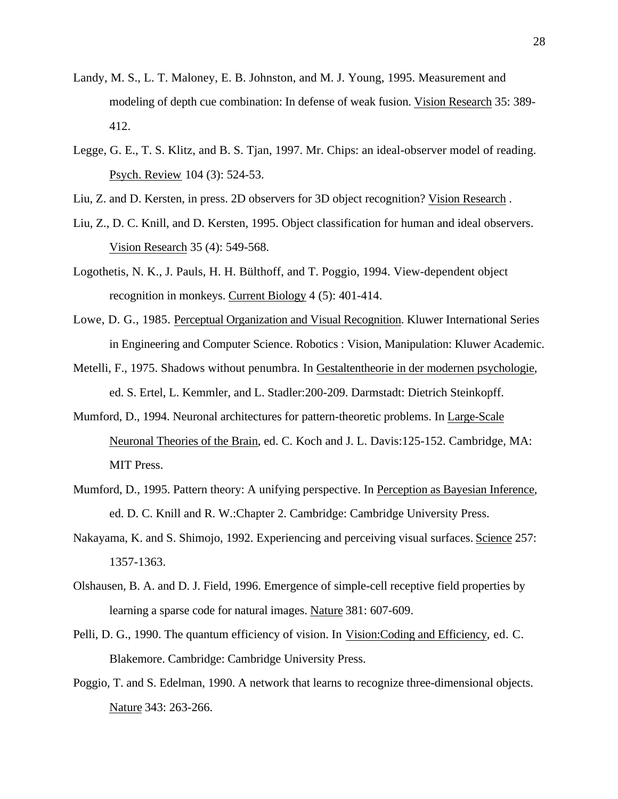- Landy, M. S., L. T. Maloney, E. B. Johnston, and M. J. Young, 1995. Measurement and modeling of depth cue combination: In defense of weak fusion. Vision Research 35: 389- 412.
- Legge, G. E., T. S. Klitz, and B. S. Tjan, 1997. Mr. Chips: an ideal-observer model of reading. Psych. Review 104 (3): 524-53.
- Liu, Z. and D. Kersten, in press. 2D observers for 3D object recognition? Vision Research .
- Liu, Z., D. C. Knill, and D. Kersten, 1995. Object classification for human and ideal observers. Vision Research 35 (4): 549-568.
- Logothetis, N. K., J. Pauls, H. H. Bülthoff, and T. Poggio, 1994. View-dependent object recognition in monkeys. Current Biology 4 (5): 401-414.
- Lowe, D. G., 1985. Perceptual Organization and Visual Recognition . Kluwer International Series in Engineering and Computer Science. Robotics : Vision, Manipulation: Kluwer Academic.
- Metelli, F., 1975. Shadows without penumbra. In Gestaltentheorie in der modernen psychologie , ed. S. Ertel, L. Kemmler, and L. Stadler:200-209. Darmstadt: Dietrich Steinkopff.
- Mumford, D., 1994. Neuronal architectures for pattern-theoretic problems. In Large-Scale Neuronal Theories of the Brain, ed. C. Koch and J. L. Davis:125-152. Cambridge, MA: MIT Press.
- Mumford, D., 1995. Pattern theory: A unifying perspective. In Perception as Bayesian Inference , ed. D. C. Knill and R. W.:Chapter 2. Cambridge: Cambridge University Press.
- Nakayama, K. and S. Shimojo, 1992. Experiencing and perceiving visual surfaces. Science 257: 1357-1363.
- Olshausen, B. A. and D. J. Field, 1996. Emergence of simple-cell receptive field properties by learning a sparse code for natural images. Nature 381: 607-609.
- Pelli, D. G., 1990. The quantum efficiency of vision. In Vision: Coding and Efficiency, ed. C. Blakemore. Cambridge: Cambridge University Press.
- Poggio, T. and S. Edelman, 1990. A network that learns to recognize three-dimensional objects. Nature 343: 263-266.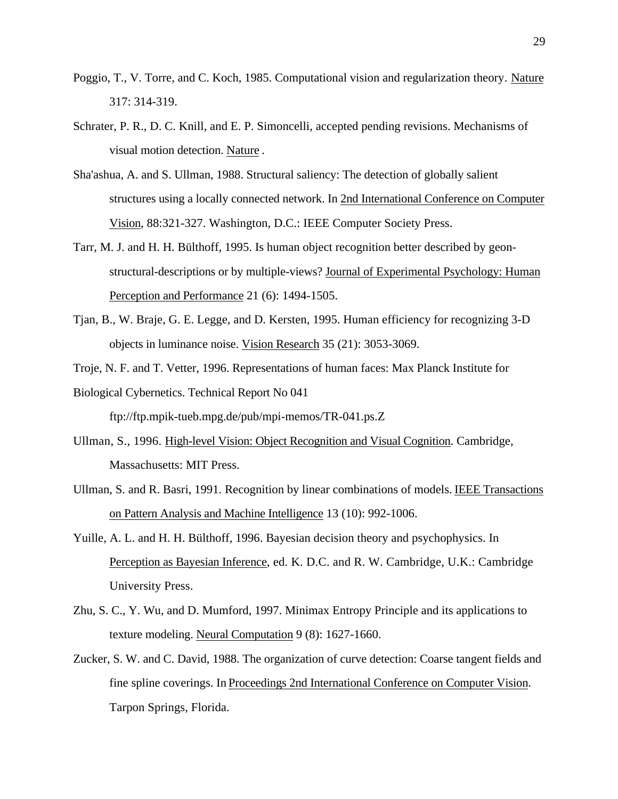- Poggio, T., V. Torre, and C. Koch, 1985. Computational vision and regularization theory. Nature 317: 314-319.
- Schrater, P. R., D. C. Knill, and E. P. Simoncelli, accepted pending revisions. Mechanisms of visual motion detection. Nature .
- Sha'ashua, A. and S. Ullman, 1988. Structural saliency: The detection of globally salient structures using a locally connected network. In 2nd International Conference on Computer Vision, 88:321-327. Washington, D.C.: IEEE Computer Society Press.
- Tarr, M. J. and H. H. Bülthoff, 1995. Is human object recognition better described by geonstructural-descriptions or by multiple-views? Journal of Experimental Psychology: Human Perception and Performance 21 (6): 1494-1505.
- Tjan, B., W. Braje, G. E. Legge, and D. Kersten, 1995. Human efficiency for recognizing 3-D objects in luminance noise. Vision Research 35 (21): 3053-3069.
- Troje, N. F. and T. Vetter, 1996. Representations of human faces: Max Planck Institute for
- Biological Cybernetics. Technical Report No 041

ftp://ftp.mpik-tueb.mpg.de/pub/mpi-memos/TR-041.ps.Z

- Ullman, S., 1996. High-level Vision: Object Recognition and Visual Cognition . Cambridge, Massachusetts: MIT Press.
- Ullman, S. and R. Basri, 1991. Recognition by linear combinations of models. IEEE Transactions on Pattern Analysis and Machine Intelligence 13 (10): 992-1006.
- Yuille, A. L. and H. H. Bülthoff, 1996. Bayesian decision theory and psychophysics. In Perception as Bayesian Inference, ed. K. D.C. and R. W. Cambridge, U.K.: Cambridge University Press.
- Zhu, S. C., Y. Wu, and D. Mumford, 1997. Minimax Entropy Principle and its applications to texture modeling. Neural Computation 9 (8): 1627-1660.
- Zucker, S. W. and C. David, 1988. The organization of curve detection: Coarse tangent fields and fine spline coverings. In Proceedings 2nd International Conference on Computer Vision . Tarpon Springs, Florida.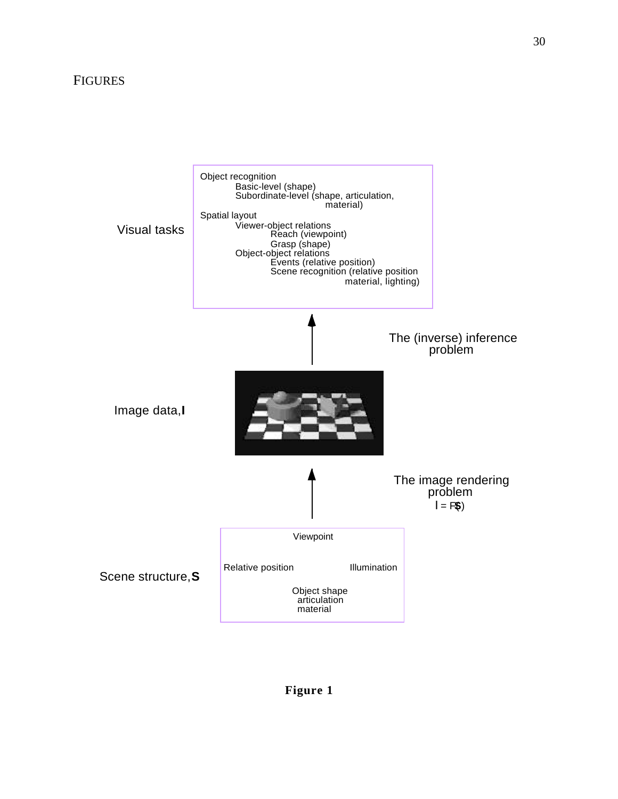## FIGURES



## **Figure 1**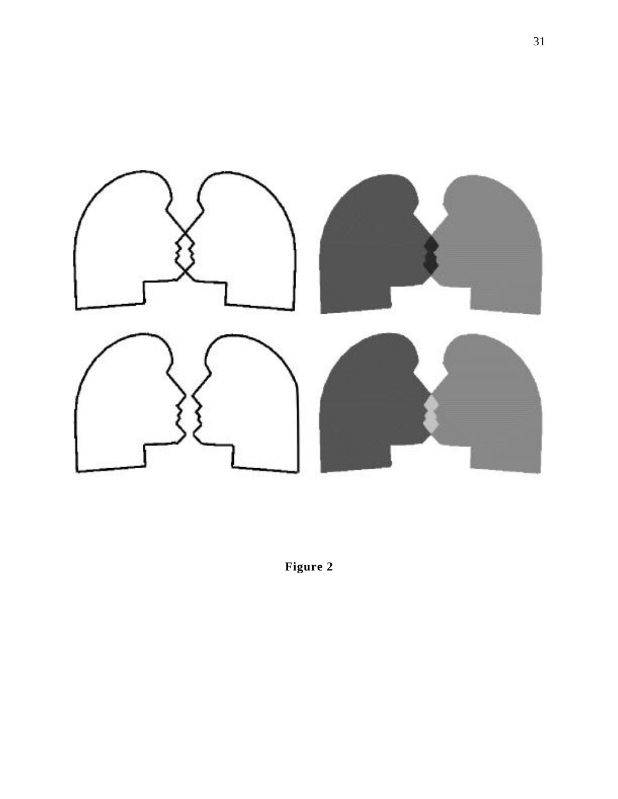

**Figure 2**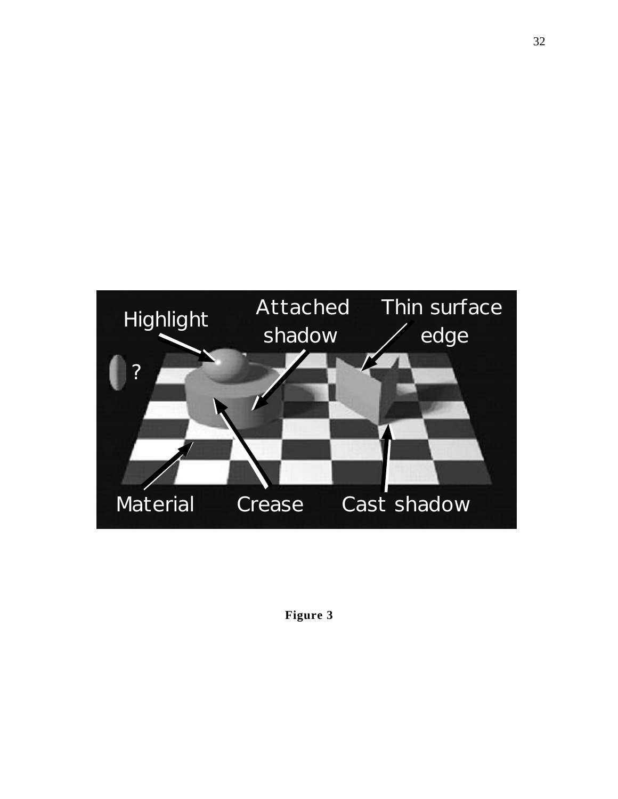

**Figure 3**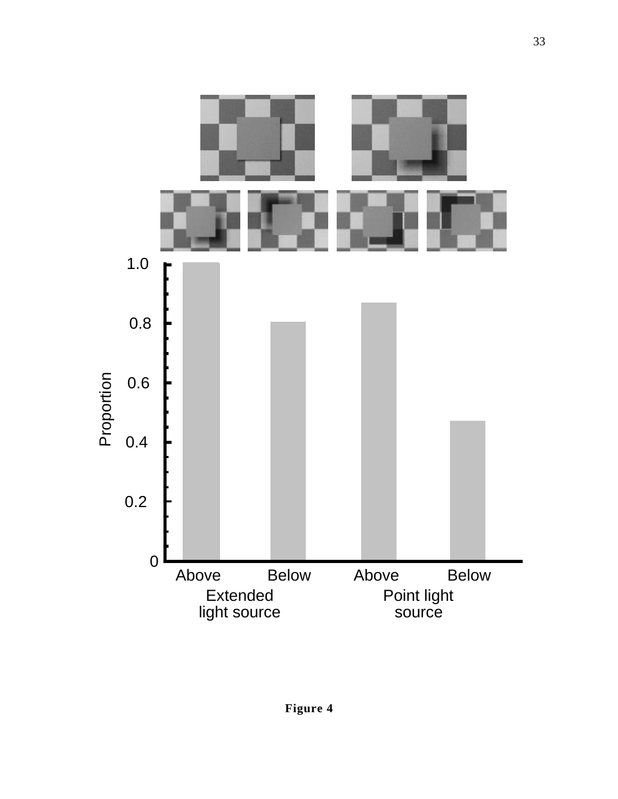

33

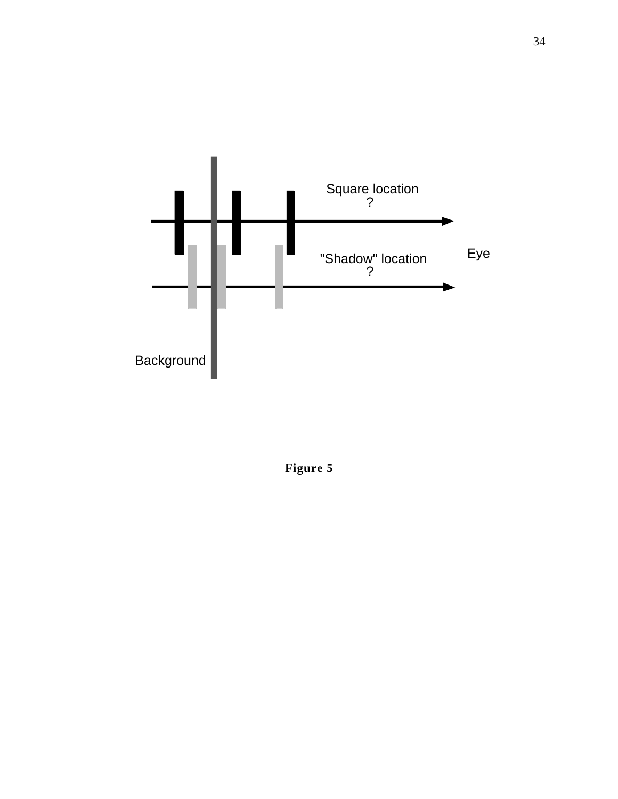

**Figure 5**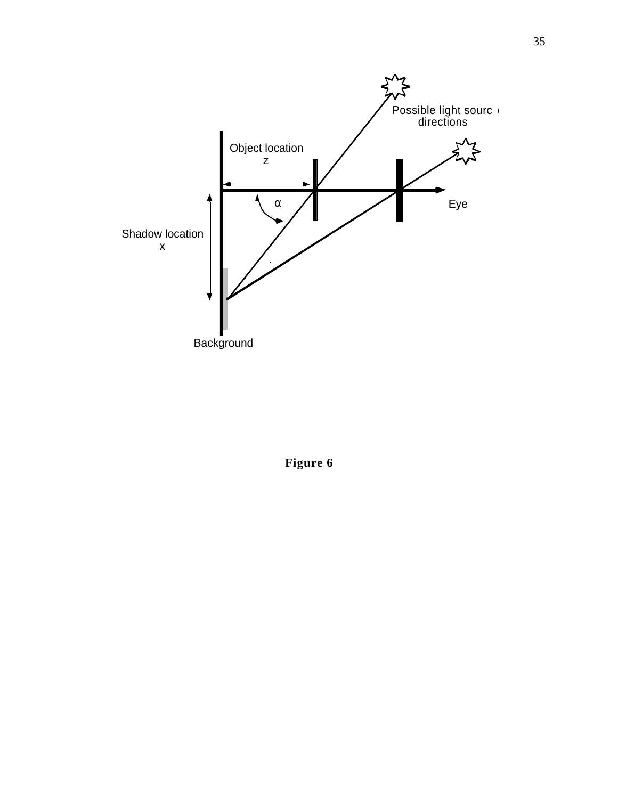

**Figure 6**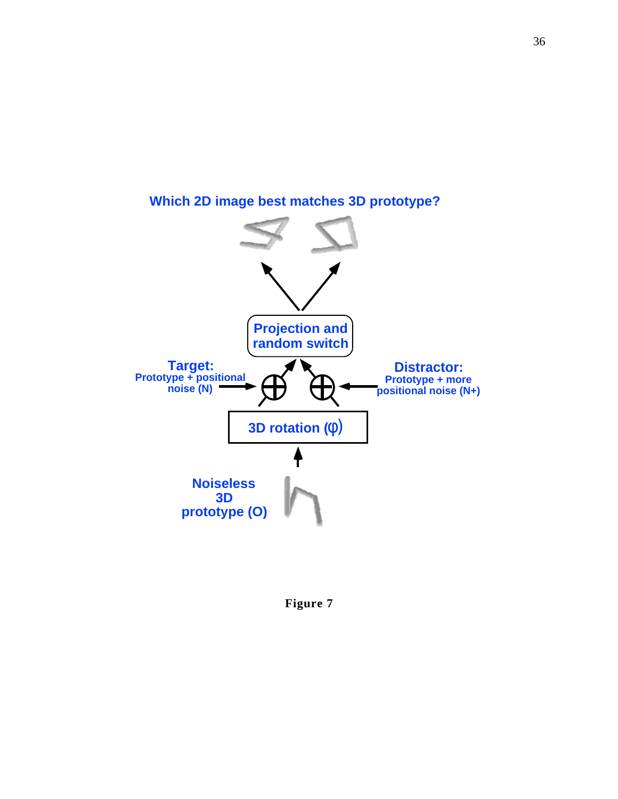

**Which 2D image best matches 3D prototype?**

**Figure 7**